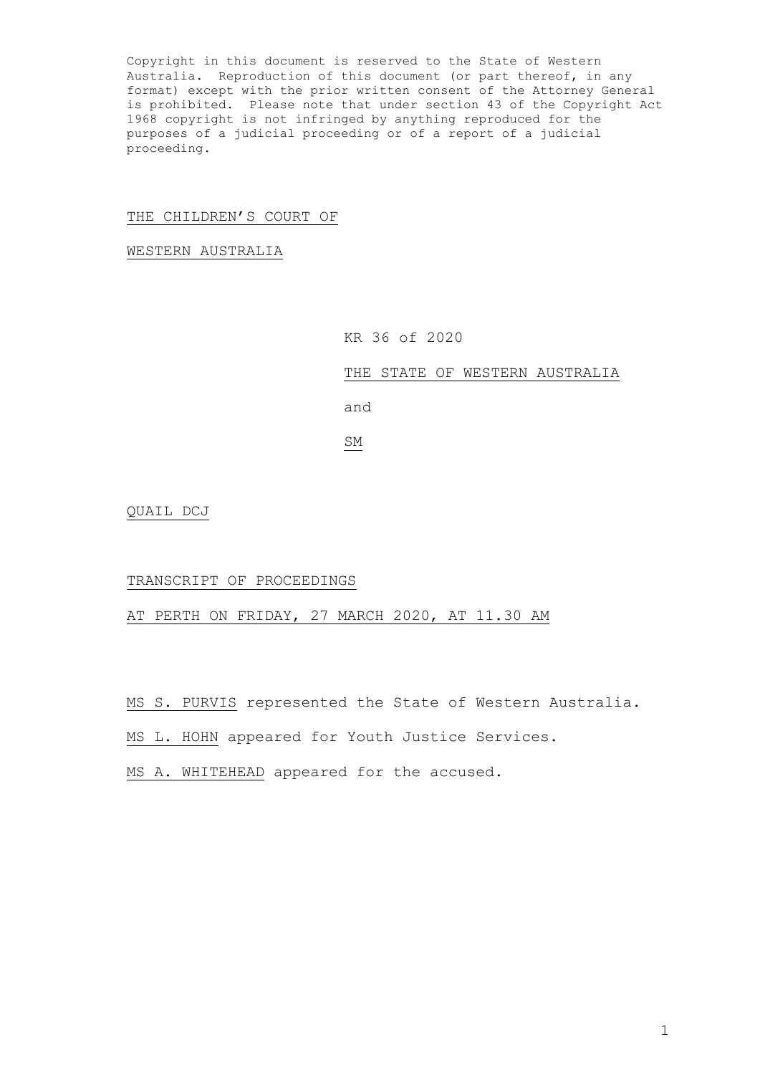Copyright in this document is reserved to the State of Western Australia. Reproduction of this document (or part thereof, in any format) except with the prior written consent of the Attorney General is prohibited. Please note that under section 43 of the Copyright Act 1968 copyright is not infringed by anything reproduced for the purposes of a judicial proceeding or of a report of a judicial proceeding.

## THE CHILDREN'S COURT OF

WESTERN AUSTRALIA

KR 36 of 2020

THE STATE OF WESTERN AUSTRALIA

and

SM

QUAIL DCJ

## TRANSCRIPT OF PROCEEDINGS

AT PERTH ON FRIDAY, 27 MARCH 2020, AT 11.30 AM

MS S. PURVIS represented the State of Western Australia.

MS L. HOHN appeared for Youth Justice Services.

MS A. WHITEHEAD appeared for the accused.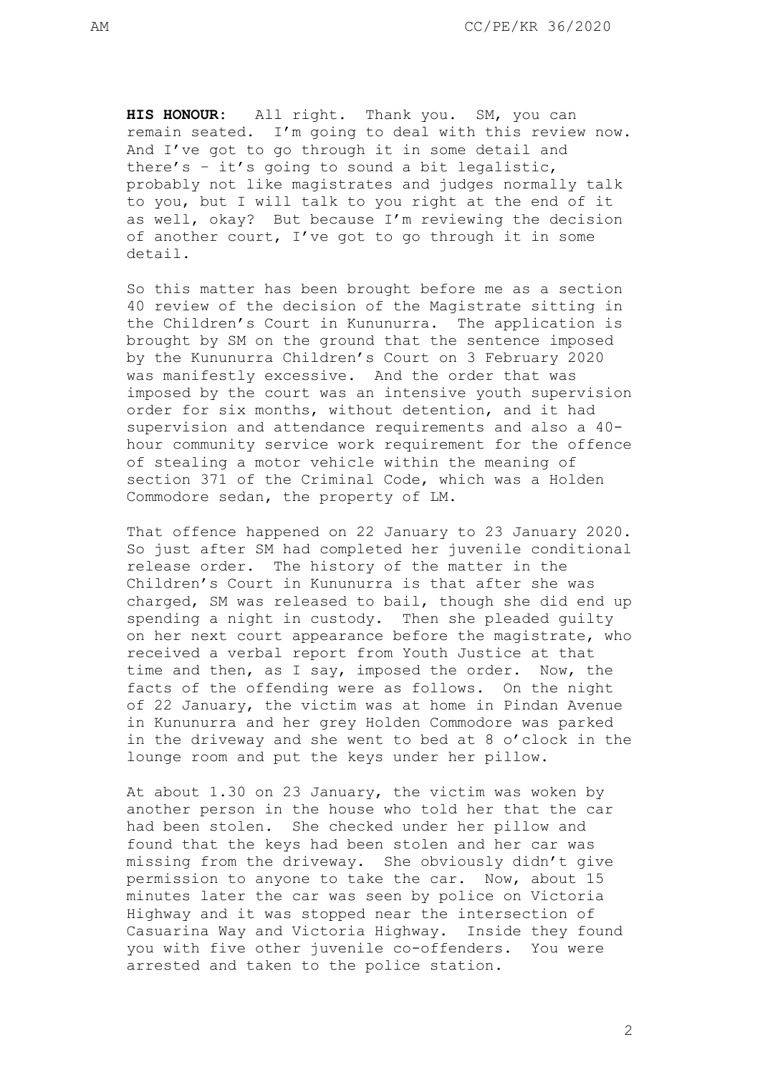**HIS HONOUR:** All right. Thank you. SM, you can remain seated. I'm going to deal with this review now. And I've got to go through it in some detail and there's – it's going to sound a bit legalistic, probably not like magistrates and judges normally talk to you, but I will talk to you right at the end of it as well, okay? But because I'm reviewing the decision of another court, I've got to go through it in some detail.

So this matter has been brought before me as a section 40 review of the decision of the Magistrate sitting in the Children's Court in Kununurra. The application is brought by SM on the ground that the sentence imposed by the Kununurra Children's Court on 3 February 2020 was manifestly excessive. And the order that was imposed by the court was an intensive youth supervision order for six months, without detention, and it had supervision and attendance requirements and also a 40 hour community service work requirement for the offence of stealing a motor vehicle within the meaning of section 371 of the Criminal Code, which was a Holden Commodore sedan, the property of LM.

That offence happened on 22 January to 23 January 2020. So just after SM had completed her juvenile conditional release order. The history of the matter in the Children's Court in Kununurra is that after she was charged, SM was released to bail, though she did end up spending a night in custody. Then she pleaded guilty on her next court appearance before the magistrate, who received a verbal report from Youth Justice at that time and then, as I say, imposed the order. Now, the facts of the offending were as follows. On the night of 22 January, the victim was at home in Pindan Avenue in Kununurra and her grey Holden Commodore was parked in the driveway and she went to bed at 8 o'clock in the lounge room and put the keys under her pillow.

At about 1.30 on 23 January, the victim was woken by another person in the house who told her that the car had been stolen. She checked under her pillow and found that the keys had been stolen and her car was missing from the driveway. She obviously didn't give permission to anyone to take the car. Now, about 15 minutes later the car was seen by police on Victoria Highway and it was stopped near the intersection of Casuarina Way and Victoria Highway. Inside they found you with five other juvenile co-offenders. You were arrested and taken to the police station.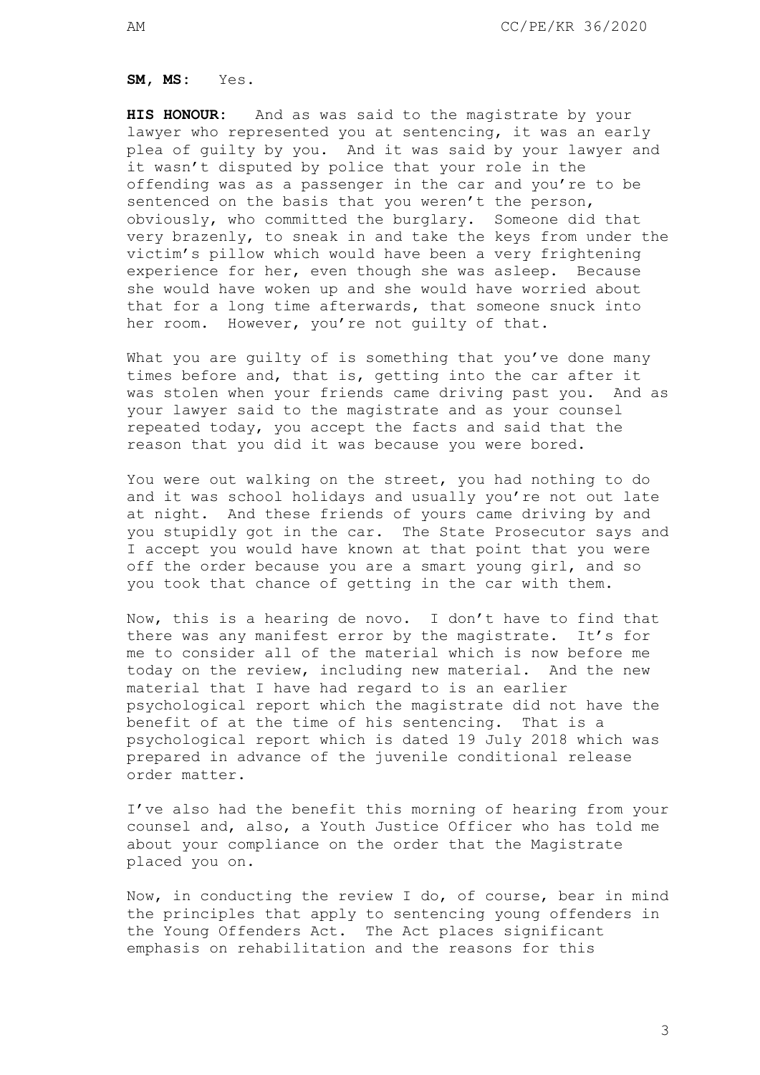**SM, MS:** Yes.

**HIS HONOUR:** And as was said to the magistrate by your lawyer who represented you at sentencing, it was an early plea of guilty by you. And it was said by your lawyer and it wasn't disputed by police that your role in the offending was as a passenger in the car and you're to be sentenced on the basis that you weren't the person, obviously, who committed the burglary. Someone did that very brazenly, to sneak in and take the keys from under the victim's pillow which would have been a very frightening experience for her, even though she was asleep. Because she would have woken up and she would have worried about that for a long time afterwards, that someone snuck into her room. However, you're not guilty of that.

What you are guilty of is something that you've done many times before and, that is, getting into the car after it was stolen when your friends came driving past you. And as your lawyer said to the magistrate and as your counsel repeated today, you accept the facts and said that the reason that you did it was because you were bored.

You were out walking on the street, you had nothing to do and it was school holidays and usually you're not out late at night. And these friends of yours came driving by and you stupidly got in the car. The State Prosecutor says and I accept you would have known at that point that you were off the order because you are a smart young girl, and so you took that chance of getting in the car with them.

Now, this is a hearing de novo. I don't have to find that there was any manifest error by the magistrate. It's for me to consider all of the material which is now before me today on the review, including new material. And the new material that I have had regard to is an earlier psychological report which the magistrate did not have the benefit of at the time of his sentencing. That is a psychological report which is dated 19 July 2018 which was prepared in advance of the juvenile conditional release order matter.

I've also had the benefit this morning of hearing from your counsel and, also, a Youth Justice Officer who has told me about your compliance on the order that the Magistrate placed you on.

Now, in conducting the review I do, of course, bear in mind the principles that apply to sentencing young offenders in the Young Offenders Act. The Act places significant emphasis on rehabilitation and the reasons for this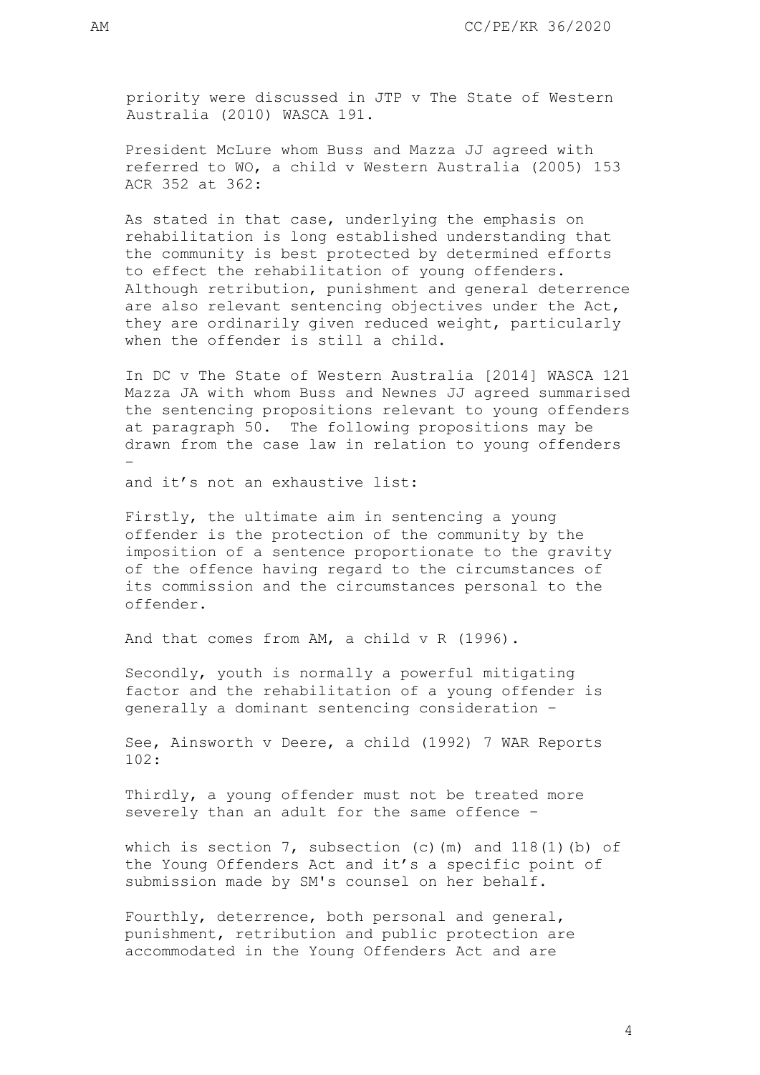priority were discussed in JTP v The State of Western Australia (2010) WASCA 191.

President McLure whom Buss and Mazza JJ agreed with referred to WO, a child v Western Australia (2005) 153 ACR 352 at 362:

As stated in that case, underlying the emphasis on rehabilitation is long established understanding that the community is best protected by determined efforts to effect the rehabilitation of young offenders. Although retribution, punishment and general deterrence are also relevant sentencing objectives under the Act, they are ordinarily given reduced weight, particularly when the offender is still a child.

In DC v The State of Western Australia [2014] WASCA 121 Mazza JA with whom Buss and Newnes JJ agreed summarised the sentencing propositions relevant to young offenders at paragraph 50. The following propositions may be drawn from the case law in relation to young offenders –

and it's not an exhaustive list:

Firstly, the ultimate aim in sentencing a young offender is the protection of the community by the imposition of a sentence proportionate to the gravity of the offence having regard to the circumstances of its commission and the circumstances personal to the offender.

And that comes from AM, a child v R (1996).

Secondly, youth is normally a powerful mitigating factor and the rehabilitation of a young offender is generally a dominant sentencing consideration –

See, Ainsworth v Deere, a child (1992) 7 WAR Reports 102:

Thirdly, a young offender must not be treated more severely than an adult for the same offence –

which is section  $7$ , subsection (c)(m) and  $118(1)$ (b) of the Young Offenders Act and it's a specific point of submission made by SM's counsel on her behalf.

Fourthly, deterrence, both personal and general, punishment, retribution and public protection are accommodated in the Young Offenders Act and are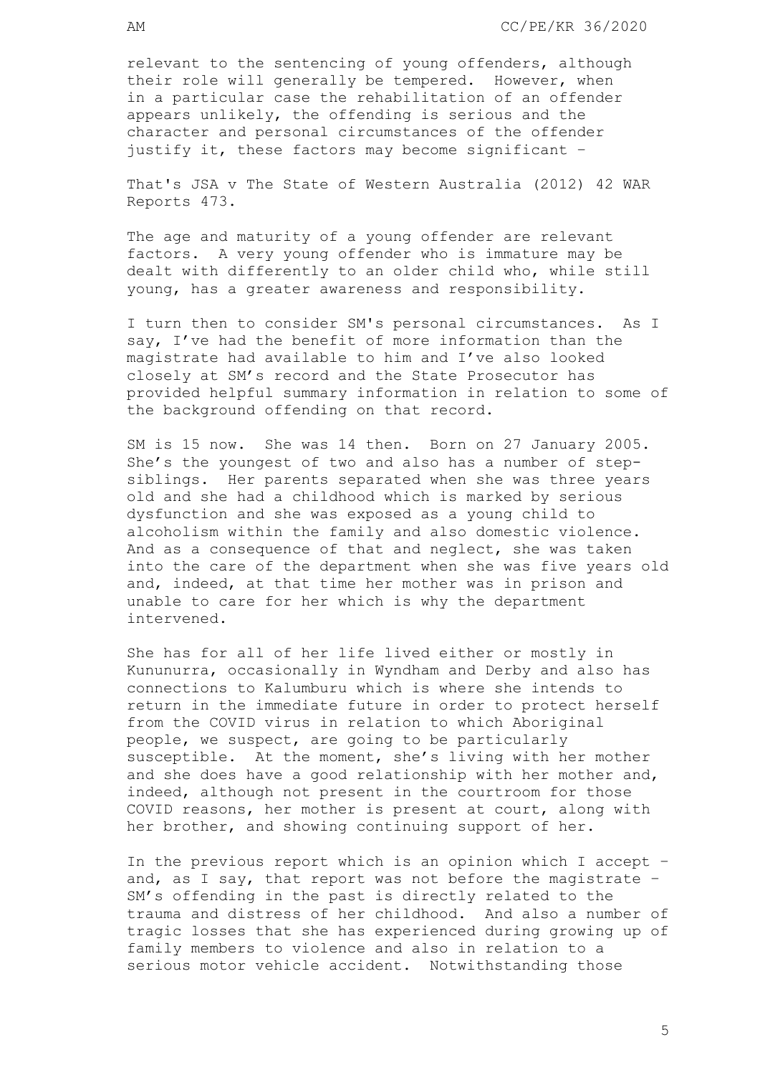relevant to the sentencing of young offenders, although their role will generally be tempered. However, when in a particular case the rehabilitation of an offender appears unlikely, the offending is serious and the character and personal circumstances of the offender justify it, these factors may become significant –

That's JSA v The State of Western Australia (2012) 42 WAR Reports 473.

The age and maturity of a young offender are relevant factors. A very young offender who is immature may be dealt with differently to an older child who, while still young, has a greater awareness and responsibility.

I turn then to consider SM's personal circumstances. As I say, I've had the benefit of more information than the magistrate had available to him and I've also looked closely at SM's record and the State Prosecutor has provided helpful summary information in relation to some of the background offending on that record.

SM is 15 now. She was 14 then. Born on 27 January 2005. She's the youngest of two and also has a number of stepsiblings. Her parents separated when she was three years old and she had a childhood which is marked by serious dysfunction and she was exposed as a young child to alcoholism within the family and also domestic violence. And as a consequence of that and neglect, she was taken into the care of the department when she was five years old and, indeed, at that time her mother was in prison and unable to care for her which is why the department intervened.

She has for all of her life lived either or mostly in Kununurra, occasionally in Wyndham and Derby and also has connections to Kalumburu which is where she intends to return in the immediate future in order to protect herself from the COVID virus in relation to which Aboriginal people, we suspect, are going to be particularly susceptible. At the moment, she's living with her mother and she does have a good relationship with her mother and, indeed, although not present in the courtroom for those COVID reasons, her mother is present at court, along with her brother, and showing continuing support of her.

In the previous report which is an opinion which I accept – and, as I say, that report was not before the magistrate – SM's offending in the past is directly related to the trauma and distress of her childhood. And also a number of tragic losses that she has experienced during growing up of family members to violence and also in relation to a serious motor vehicle accident. Notwithstanding those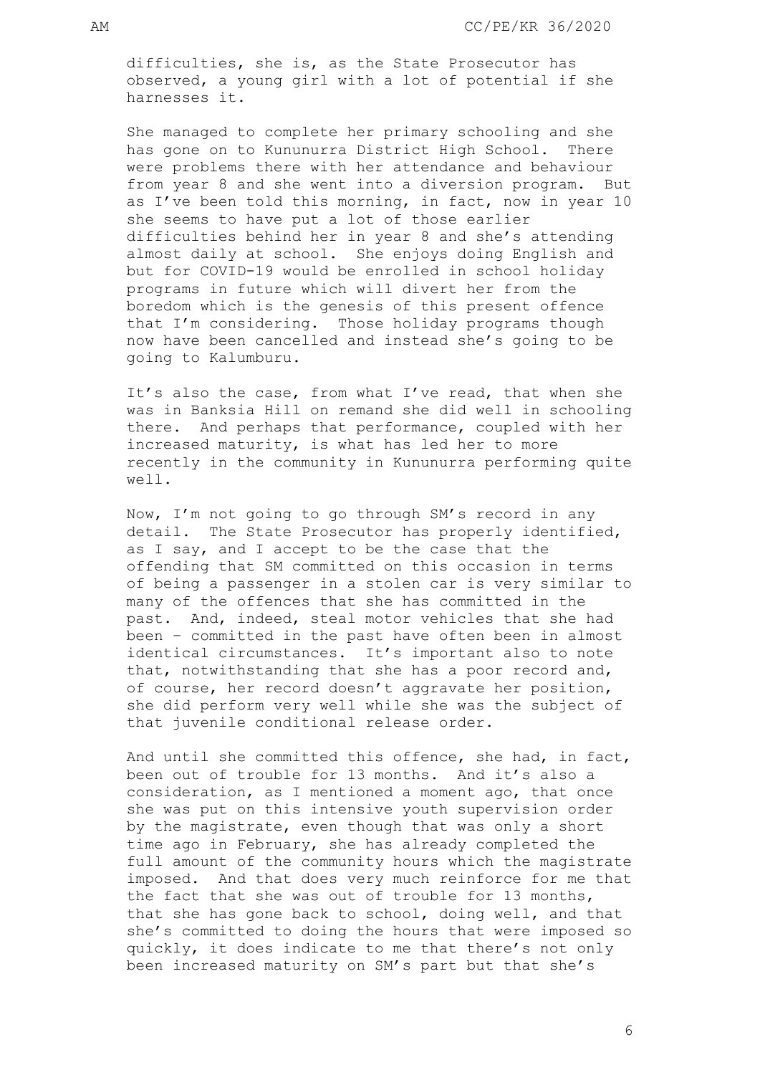difficulties, she is, as the State Prosecutor has observed, a young girl with a lot of potential if she harnesses it.

She managed to complete her primary schooling and she has gone on to Kununurra District High School. There were problems there with her attendance and behaviour from year 8 and she went into a diversion program. But as I've been told this morning, in fact, now in year 10 she seems to have put a lot of those earlier difficulties behind her in year 8 and she's attending almost daily at school. She enjoys doing English and but for COVID-19 would be enrolled in school holiday programs in future which will divert her from the boredom which is the genesis of this present offence that I'm considering. Those holiday programs though now have been cancelled and instead she's going to be going to Kalumburu.

It's also the case, from what I've read, that when she was in Banksia Hill on remand she did well in schooling there. And perhaps that performance, coupled with her increased maturity, is what has led her to more recently in the community in Kununurra performing quite well.

Now, I'm not going to go through SM's record in any detail. The State Prosecutor has properly identified, as I say, and I accept to be the case that the offending that SM committed on this occasion in terms of being a passenger in a stolen car is very similar to many of the offences that she has committed in the past. And, indeed, steal motor vehicles that she had been – committed in the past have often been in almost identical circumstances. It's important also to note that, notwithstanding that she has a poor record and, of course, her record doesn't aggravate her position, she did perform very well while she was the subject of that juvenile conditional release order.

And until she committed this offence, she had, in fact, been out of trouble for 13 months. And it's also a consideration, as I mentioned a moment ago, that once she was put on this intensive youth supervision order by the magistrate, even though that was only a short time ago in February, she has already completed the full amount of the community hours which the magistrate imposed. And that does very much reinforce for me that the fact that she was out of trouble for 13 months, that she has gone back to school, doing well, and that she's committed to doing the hours that were imposed so quickly, it does indicate to me that there's not only been increased maturity on SM's part but that she's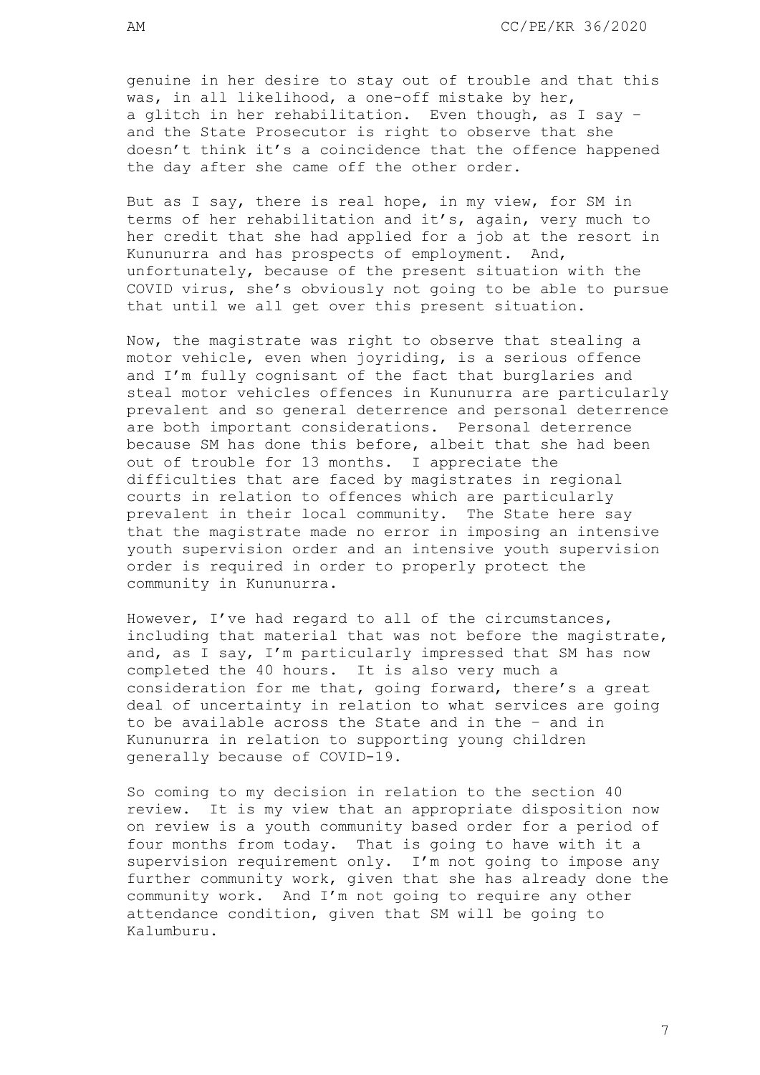genuine in her desire to stay out of trouble and that this was, in all likelihood, a one-off mistake by her, a glitch in her rehabilitation. Even though, as I say – and the State Prosecutor is right to observe that she doesn't think it's a coincidence that the offence happened the day after she came off the other order.

But as I say, there is real hope, in my view, for SM in terms of her rehabilitation and it's, again, very much to her credit that she had applied for a job at the resort in Kununurra and has prospects of employment. And, unfortunately, because of the present situation with the COVID virus, she's obviously not going to be able to pursue that until we all get over this present situation.

Now, the magistrate was right to observe that stealing a motor vehicle, even when joyriding, is a serious offence and I'm fully cognisant of the fact that burglaries and steal motor vehicles offences in Kununurra are particularly prevalent and so general deterrence and personal deterrence are both important considerations. Personal deterrence because SM has done this before, albeit that she had been out of trouble for 13 months. I appreciate the difficulties that are faced by magistrates in regional courts in relation to offences which are particularly prevalent in their local community. The State here say that the magistrate made no error in imposing an intensive youth supervision order and an intensive youth supervision order is required in order to properly protect the community in Kununurra.

However, I've had regard to all of the circumstances, including that material that was not before the magistrate, and, as I say, I'm particularly impressed that SM has now completed the 40 hours. It is also very much a consideration for me that, going forward, there's a great deal of uncertainty in relation to what services are going to be available across the State and in the – and in Kununurra in relation to supporting young children generally because of COVID-19.

So coming to my decision in relation to the section 40 review. It is my view that an appropriate disposition now on review is a youth community based order for a period of four months from today. That is going to have with it a supervision requirement only. I'm not going to impose any further community work, given that she has already done the community work. And I'm not going to require any other attendance condition, given that SM will be going to Kalumburu.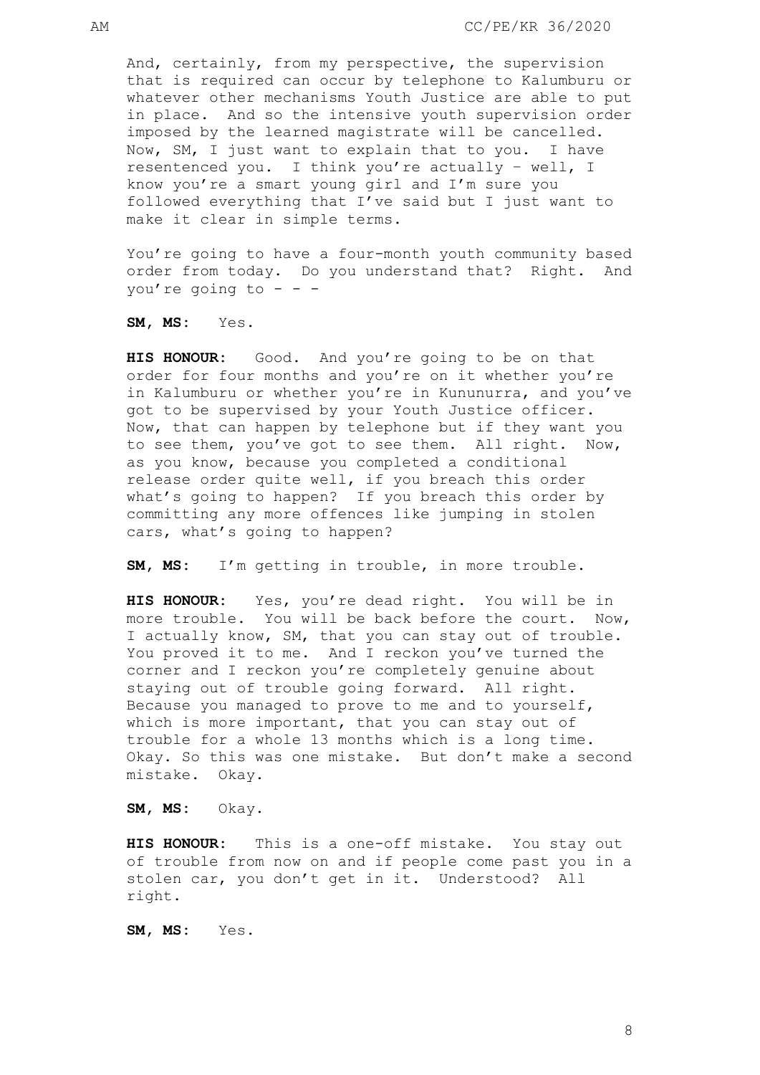And, certainly, from my perspective, the supervision that is required can occur by telephone to Kalumburu or whatever other mechanisms Youth Justice are able to put in place. And so the intensive youth supervision order imposed by the learned magistrate will be cancelled. Now, SM, I just want to explain that to you. I have resentenced you. I think you're actually – well, I know you're a smart young girl and I'm sure you followed everything that I've said but I just want to make it clear in simple terms.

You're going to have a four-month youth community based order from today. Do you understand that? Right. And you're going to  $-$  -  $-$ 

**SM, MS:** Yes.

**HIS HONOUR:** Good. And you're going to be on that order for four months and you're on it whether you're in Kalumburu or whether you're in Kununurra, and you've got to be supervised by your Youth Justice officer. Now, that can happen by telephone but if they want you to see them, you've got to see them. All right. Now, as you know, because you completed a conditional release order quite well, if you breach this order what's going to happen? If you breach this order by committing any more offences like jumping in stolen cars, what's going to happen?

**SM, MS:** I'm getting in trouble, in more trouble.

**HIS HONOUR:** Yes, you're dead right. You will be in more trouble. You will be back before the court. Now, I actually know, SM, that you can stay out of trouble. You proved it to me. And I reckon you've turned the corner and I reckon you're completely genuine about staying out of trouble going forward. All right. Because you managed to prove to me and to yourself, which is more important, that you can stay out of trouble for a whole 13 months which is a long time. Okay. So this was one mistake. But don't make a second mistake. Okay.

**SM, MS:** Okay.

**HIS HONOUR:** This is a one-off mistake. You stay out of trouble from now on and if people come past you in a stolen car, you don't get in it. Understood? All right.

**SM, MS:** Yes.